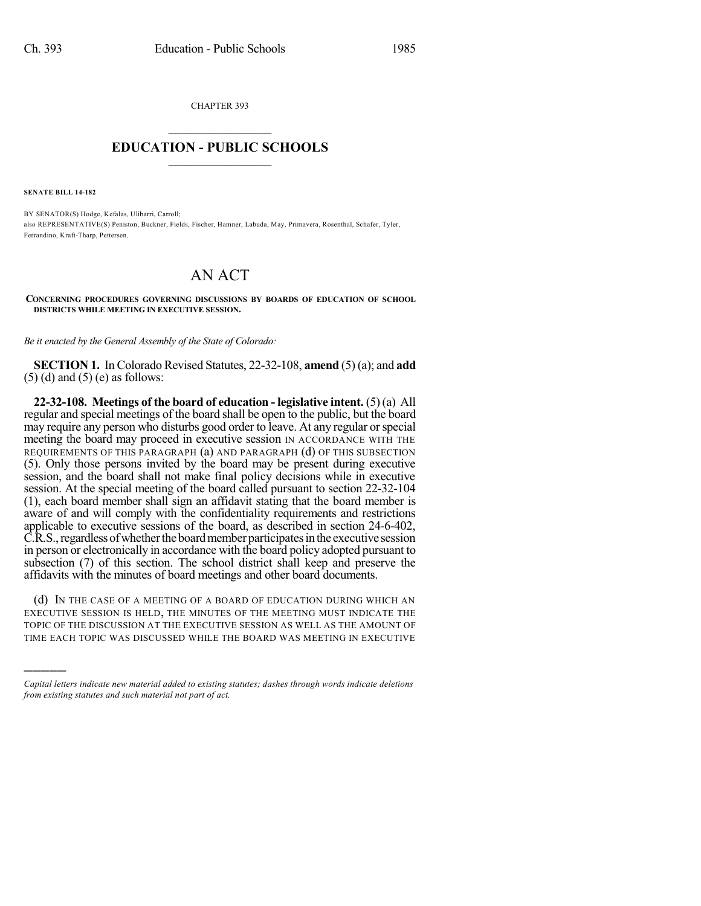CHAPTER 393  $\overline{\phantom{a}}$  . The set of the set of the set of the set of the set of the set of the set of the set of the set of the set of the set of the set of the set of the set of the set of the set of the set of the set of the set o

## **EDUCATION - PUBLIC SCHOOLS**  $\_$   $\_$   $\_$   $\_$   $\_$   $\_$   $\_$   $\_$   $\_$

**SENATE BILL 14-182**

)))))

BY SENATOR(S) Hodge, Kefalas, Ulibarri, Carroll; also REPRESENTATIVE(S) Peniston, Buckner, Fields, Fischer, Hamner, Labuda, May, Primavera, Rosenthal, Schafer, Tyler, Ferrandino, Kraft-Tharp, Pettersen.

## AN ACT

**CONCERNING PROCEDURES GOVERNING DISCUSSIONS BY BOARDS OF EDUCATION OF SCHOOL DISTRICTS WHILE MEETING IN EXECUTIVE SESSION.**

*Be it enacted by the General Assembly of the State of Colorado:*

**SECTION 1.** In Colorado Revised Statutes, 22-32-108, **amend** (5)(a); and **add**  $(5)$  (d) and  $(5)$  (e) as follows:

**22-32-108. Meetings of the board of education - legislative intent.** (5) (a) All regular and special meetings of the board shall be open to the public, but the board may require any person who disturbs good order to leave. At any regular orspecial meeting the board may proceed in executive session IN ACCORDANCE WITH THE REQUIREMENTS OF THIS PARAGRAPH (a) AND PARAGRAPH (d) OF THIS SUBSECTION (5). Only those persons invited by the board may be present during executive session, and the board shall not make final policy decisions while in executive session. At the special meeting of the board called pursuant to section 22-32-104 (1), each board member shall sign an affidavit stating that the board member is aware of and will comply with the confidentiality requirements and restrictions applicable to executive sessions of the board, as described in section 24-6-402, C.R.S., regardless of whether the board member participates in the executive session in person or electronically in accordance with the board policy adopted pursuant to subsection (7) of this section. The school district shall keep and preserve the affidavits with the minutes of board meetings and other board documents.

(d) IN THE CASE OF A MEETING OF A BOARD OF EDUCATION DURING WHICH AN EXECUTIVE SESSION IS HELD, THE MINUTES OF THE MEETING MUST INDICATE THE TOPIC OF THE DISCUSSION AT THE EXECUTIVE SESSION AS WELL AS THE AMOUNT OF TIME EACH TOPIC WAS DISCUSSED WHILE THE BOARD WAS MEETING IN EXECUTIVE

*Capital letters indicate new material added to existing statutes; dashes through words indicate deletions from existing statutes and such material not part of act.*